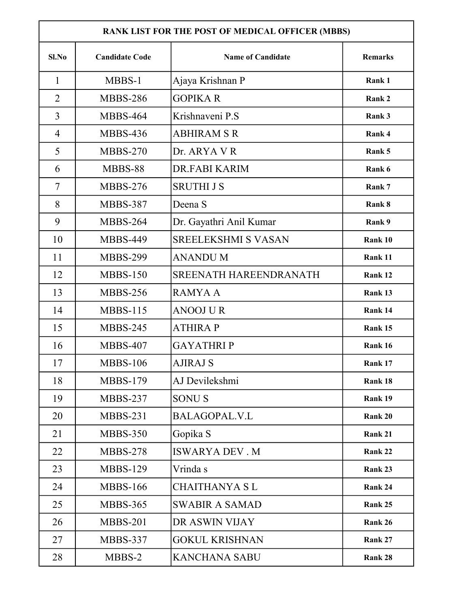| RANK LIST FOR THE POST OF MEDICAL OFFICER (MBBS) |                       |                            |                |  |  |
|--------------------------------------------------|-----------------------|----------------------------|----------------|--|--|
| Sl.No                                            | <b>Candidate Code</b> | <b>Name of Candidate</b>   | <b>Remarks</b> |  |  |
| $\mathbf{1}$                                     | MBBS-1                | Ajaya Krishnan P           | Rank 1         |  |  |
| $\overline{2}$                                   | <b>MBBS-286</b>       | <b>GOPIKAR</b>             | Rank 2         |  |  |
| 3                                                | <b>MBBS-464</b>       | Krishnaveni P.S            | Rank 3         |  |  |
| $\overline{4}$                                   | <b>MBBS-436</b>       | <b>ABHIRAM S R</b>         | Rank 4         |  |  |
| 5                                                | <b>MBBS-270</b>       | Dr. ARYA V R               | Rank 5         |  |  |
| 6                                                | MBBS-88               | DR.FABI KARIM              | Rank 6         |  |  |
| $\tau$                                           | <b>MBBS-276</b>       | <b>SRUTHI J S</b>          | Rank 7         |  |  |
| 8                                                | <b>MBBS-387</b>       | Deena S                    | Rank 8         |  |  |
| 9                                                | <b>MBBS-264</b>       | Dr. Gayathri Anil Kumar    | Rank 9         |  |  |
| 10                                               | <b>MBBS-449</b>       | <b>SREELEKSHMI S VASAN</b> | Rank 10        |  |  |
| 11                                               | <b>MBBS-299</b>       | <b>ANANDUM</b>             | Rank 11        |  |  |
| 12                                               | <b>MBBS-150</b>       | SREENATH HAREENDRANATH     | Rank 12        |  |  |
| 13                                               | <b>MBBS-256</b>       | <b>RAMYAA</b>              | Rank 13        |  |  |
| 14                                               | <b>MBBS-115</b>       | <b>ANOOJ U R</b>           | Rank 14        |  |  |
| 15                                               | <b>MBBS-245</b>       | <b>ATHIRAP</b>             | Rank 15        |  |  |
| 16                                               | <b>MBBS-407</b>       | <b>GAYATHRIP</b>           | Rank 16        |  |  |
| 17                                               | <b>MBBS-106</b>       | AJIRAJ S                   | Rank 17        |  |  |
| 18                                               | <b>MBBS-179</b>       | AJ Devilekshmi             | Rank 18        |  |  |
| 19                                               | <b>MBBS-237</b>       | <b>SONUS</b>               | Rank 19        |  |  |
| 20                                               | <b>MBBS-231</b>       | BALAGOPAL.V.L              | Rank 20        |  |  |
| 21                                               | <b>MBBS-350</b>       | Gopika S                   | Rank 21        |  |  |
| 22                                               | <b>MBBS-278</b>       | <b>ISWARYA DEV. M</b>      | Rank 22        |  |  |
| 23                                               | <b>MBBS-129</b>       | Vrinda s                   | Rank 23        |  |  |
| 24                                               | <b>MBBS-166</b>       | <b>CHAITHANYA SL</b>       | Rank 24        |  |  |
| 25                                               | <b>MBBS-365</b>       | <b>SWABIR A SAMAD</b>      | Rank 25        |  |  |
| 26                                               | <b>MBBS-201</b>       | DR ASWIN VIJAY             | Rank 26        |  |  |
| 27                                               | <b>MBBS-337</b>       | <b>GOKUL KRISHNAN</b>      | Rank 27        |  |  |
| 28                                               | MBBS-2                | <b>KANCHANA SABU</b>       | Rank 28        |  |  |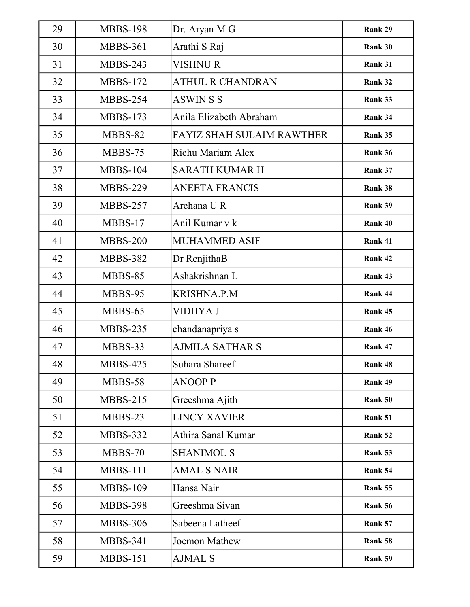| 29 | <b>MBBS-198</b> | Dr. Aryan M G                    | Rank 29 |
|----|-----------------|----------------------------------|---------|
| 30 | <b>MBBS-361</b> | Arathi S Raj                     | Rank 30 |
| 31 | <b>MBBS-243</b> | <b>VISHNUR</b>                   | Rank 31 |
| 32 | <b>MBBS-172</b> | <b>ATHUL R CHANDRAN</b>          | Rank 32 |
| 33 | <b>MBBS-254</b> | <b>ASWINSS</b>                   | Rank 33 |
| 34 | <b>MBBS-173</b> | Anila Elizabeth Abraham          | Rank 34 |
| 35 | MBBS-82         | <b>FAYIZ SHAH SULAIM RAWTHER</b> | Rank 35 |
| 36 | MBBS-75         | Richu Mariam Alex                | Rank 36 |
| 37 | <b>MBBS-104</b> | <b>SARATH KUMAR H</b>            | Rank 37 |
| 38 | <b>MBBS-229</b> | <b>ANEETA FRANCIS</b>            | Rank 38 |
| 39 | <b>MBBS-257</b> | Archana UR                       | Rank 39 |
| 40 | MBBS-17         | Anil Kumar v k                   | Rank 40 |
| 41 | <b>MBBS-200</b> | <b>MUHAMMED ASIF</b>             | Rank 41 |
| 42 | <b>MBBS-382</b> | Dr RenjithaB                     | Rank 42 |
| 43 | MBBS-85         | Ashakrishnan L                   | Rank 43 |
| 44 | MBBS-95         | <b>KRISHNA.P.M</b>               | Rank 44 |
| 45 | MBBS-65         | <b>VIDHYA J</b>                  | Rank 45 |
| 46 | <b>MBBS-235</b> | chandanapriya s                  | Rank 46 |
| 47 | MBBS-33         | <b>AJMILA SATHAR S</b>           | Rank 47 |
| 48 | <b>MBBS-425</b> | Suhara Shareef                   | Rank 48 |
| 49 | MBBS-58         | <b>ANOOP P</b>                   | Rank 49 |
| 50 | $MBBS-215$      | Greeshma Ajith                   | Rank 50 |
| 51 | MBBS-23         | <b>LINCY XAVIER</b>              | Rank 51 |
| 52 | <b>MBBS-332</b> | Athira Sanal Kumar               | Rank 52 |
| 53 | MBBS-70         | <b>SHANIMOL S</b>                | Rank 53 |
| 54 | <b>MBBS-111</b> | <b>AMAL S NAIR</b>               | Rank 54 |
| 55 | <b>MBBS-109</b> | Hansa Nair                       | Rank 55 |
| 56 | <b>MBBS-398</b> | Greeshma Sivan                   | Rank 56 |
| 57 | <b>MBBS-306</b> | Sabeena Latheef                  | Rank 57 |
| 58 | <b>MBBS-341</b> | Joemon Mathew                    | Rank 58 |
| 59 | <b>MBBS-151</b> | <b>AJMAL S</b>                   | Rank 59 |